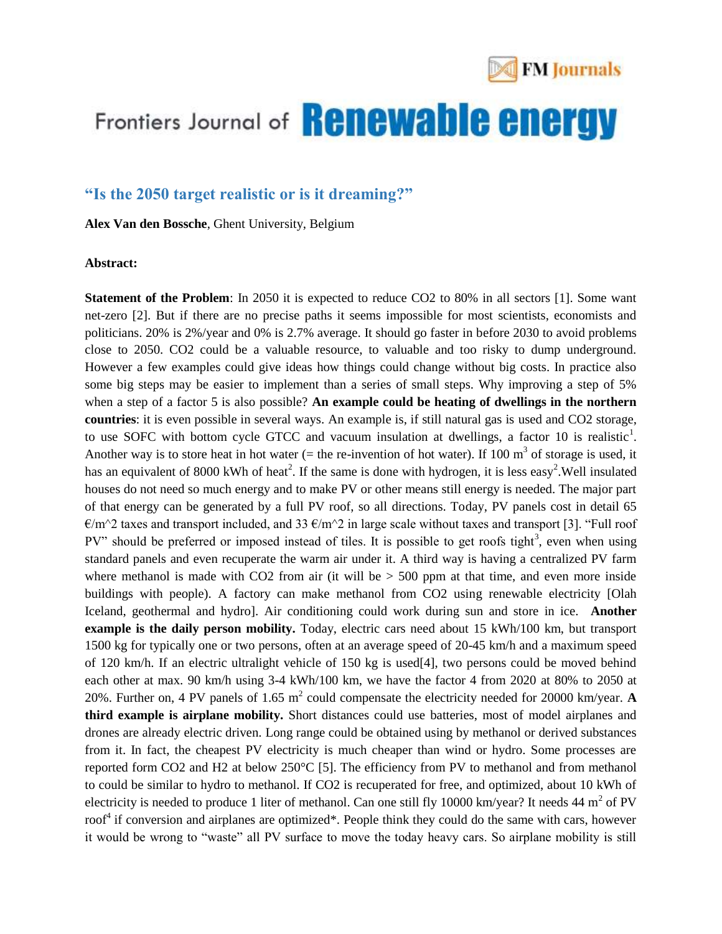

## Frontiers Journal of **Renewable energy**

### **"Is the 2050 target realistic or is it dreaming?"**

**Alex Van den Bossche**, Ghent University, Belgium

#### **Abstract:**

**Statement of the Problem**: In 2050 it is expected to reduce CO2 to 80% in all sectors [1]. Some want net-zero [2]. But if there are no precise paths it seems impossible for most scientists, economists and politicians. 20% is 2%/year and 0% is 2.7% average. It should go faster in before 2030 to avoid problems close to 2050. CO2 could be a valuable resource, to valuable and too risky to dump underground. However a few examples could give ideas how things could change without big costs. In practice also some big steps may be easier to implement than a series of small steps. Why improving a step of 5% when a step of a factor 5 is also possible? An example could be heating of dwellings in the northern **countries**: it is even possible in several ways. An example is, if still natural gas is used and CO2 storage, to use SOFC with bottom cycle GTCC and vacuum insulation at dwellings, a factor 10 is realistic<sup>1</sup>. Another way is to store heat in hot water (= the re-invention of hot water). If 100  $m<sup>3</sup>$  of storage is used, it has an equivalent of 8000 kWh of heat<sup>2</sup>. If the same is done with hydrogen, it is less easy<sup>2</sup>. Well insulated houses do not need so much energy and to make PV or other means still energy is needed. The major part of that energy can be generated by a full PV roof, so all directions. Today, PV panels cost in detail 65  $\epsilon/m^2$  taxes and transport included, and 33  $\epsilon/m^2$  in large scale without taxes and transport [3]. "Full roof PV" should be preferred or imposed instead of tiles. It is possible to get roofs tight<sup>3</sup>, even when using standard panels and even recuperate the warm air under it. A third way is having a centralized PV farm where methanol is made with CO2 from air (it will be  $> 500$  ppm at that time, and even more inside buildings with people). A factory can make methanol from CO2 using renewable electricity [Olah Iceland, geothermal and hydro]. Air conditioning could work during sun and store in ice. **Another example is the daily person mobility.** Today, electric cars need about 15 kWh/100 km, but transport 1500 kg for typically one or two persons, often at an average speed of 20-45 km/h and a maximum speed of 120 km/h. If an electric ultralight vehicle of 150 kg is used[4], two persons could be moved behind each other at max. 90 km/h using 3-4 kWh/100 km, we have the factor 4 from 2020 at 80% to 2050 at 20%. Further on, 4 PV panels of 1.65  $m^2$  could compensate the electricity needed for 20000 km/year. A **third example is airplane mobility.** Short distances could use batteries, most of model airplanes and drones are already electric driven. Long range could be obtained using by methanol or derived substances from it. In fact, the cheapest PV electricity is much cheaper than wind or hydro. Some processes are reported form CO2 and H2 at below 250°C [5]. The efficiency from PV to methanol and from methanol to could be similar to hydro to methanol. If CO2 is recuperated for free, and optimized, about 10 kWh of electricity is needed to produce 1 liter of methanol. Can one still fly 10000 km/year? It needs 44 m<sup>2</sup> of PV roof<sup>4</sup> if conversion and airplanes are optimized\*. People think they could do the same with cars, however it would be wrong to "waste" all PV surface to move the today heavy cars. So airplane mobility is still